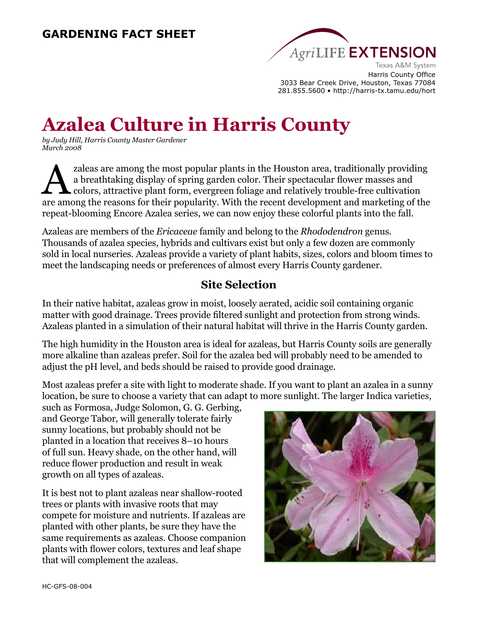

Harris County Office 3033 Bear Creek Drive, Houston, Texas 77084 281.855.5600 • http://harris-tx.tamu.edu/hort

# **Azalea Culture in Harris County**

*by Judy Hill, Harris County Master Gardener March 2008*

zaleas are among the most popular plants in the Houston area, traditionally providing<br>a breathtaking display of spring garden color. Their spectacular flower masses and<br>colors, attractive plant form, evergreen foliage and a breathtaking display of spring garden color. Their spectacular flower masses and **L** colors, attractive plant form, evergreen foliage and relatively trouble-free cultivation are among the reasons for their popularity. With the recent development and marketing of the repeat-blooming Encore Azalea series, we can now enjoy these colorful plants into the fall.

Azaleas are members of the *Ericaceae* family and belong to the *Rhododendron* genus. Thousands of azalea species, hybrids and cultivars exist but only a few dozen are commonly sold in local nurseries. Azaleas provide a variety of plant habits, sizes, colors and bloom times to meet the landscaping needs or preferences of almost every Harris County gardener.

## **Site Selection**

In their native habitat, azaleas grow in moist, loosely aerated, acidic soil containing organic matter with good drainage. Trees provide filtered sunlight and protection from strong winds. Azaleas planted in a simulation of their natural habitat will thrive in the Harris County garden.

The high humidity in the Houston area is ideal for azaleas, but Harris County soils are generally more alkaline than azaleas prefer. Soil for the azalea bed will probably need to be amended to adjust the pH level, and beds should be raised to provide good drainage.

Most azaleas prefer a site with light to moderate shade. If you want to plant an azalea in a sunny location, be sure to choose a variety that can adapt to more sunlight. The larger Indica varieties,

such as Formosa, Judge Solomon, G. G. Gerbing, and George Tabor, will generally tolerate fairly sunny locations, but probably should not be planted in a location that receives 8–10 hours of full sun. Heavy shade, on the other hand, will reduce flower production and result in weak growth on all types of azaleas.

It is best not to plant azaleas near shallow-rooted trees or plants with invasive roots that may compete for moisture and nutrients. If azaleas are planted with other plants, be sure they have the same requirements as azaleas. Choose companion plants with flower colors, textures and leaf shape that will complement the azaleas.

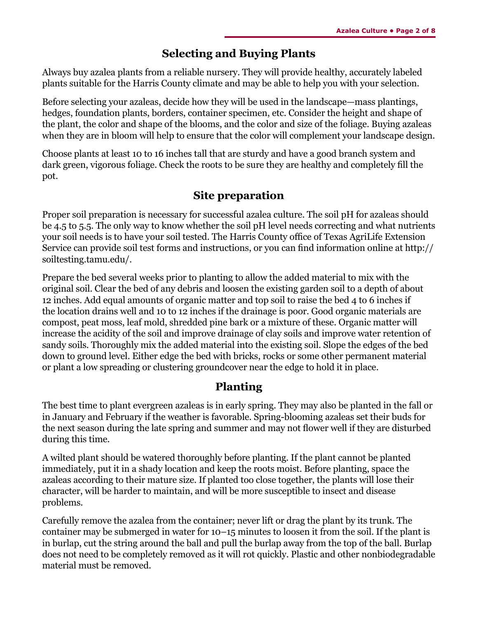### **Selecting and Buying Plants**

Always buy azalea plants from a reliable nursery. They will provide healthy, accurately labeled plants suitable for the Harris County climate and may be able to help you with your selection.

Before selecting your azaleas, decide how they will be used in the landscape—mass plantings, hedges, foundation plants, borders, container specimen, etc. Consider the height and shape of the plant, the color and shape of the blooms, and the color and size of the foliage. Buying azaleas when they are in bloom will help to ensure that the color will complement your landscape design.

Choose plants at least 10 to 16 inches tall that are sturdy and have a good branch system and dark green, vigorous foliage. Check the roots to be sure they are healthy and completely fill the pot.

### **Site preparation**

Proper soil preparation is necessary for successful azalea culture. The soil pH for azaleas should be 4.5 to 5.5. The only way to know whether the soil pH level needs correcting and what nutrients your soil needs is to have your soil tested. The Harris County office of Texas AgriLife Extension Service can provide soil test forms and instructions, or you can find information online at http:// soiltesting.tamu.edu/.

Prepare the bed several weeks prior to planting to allow the added material to mix with the original soil. Clear the bed of any debris and loosen the existing garden soil to a depth of about 12 inches. Add equal amounts of organic matter and top soil to raise the bed 4 to 6 inches if the location drains well and 10 to 12 inches if the drainage is poor. Good organic materials are compost, peat moss, leaf mold, shredded pine bark or a mixture of these. Organic matter will increase the acidity of the soil and improve drainage of clay soils and improve water retention of sandy soils. Thoroughly mix the added material into the existing soil. Slope the edges of the bed down to ground level. Either edge the bed with bricks, rocks or some other permanent material or plant a low spreading or clustering groundcover near the edge to hold it in place.

## **Planting**

The best time to plant evergreen azaleas is in early spring. They may also be planted in the fall or in January and February if the weather is favorable. Spring-blooming azaleas set their buds for the next season during the late spring and summer and may not flower well if they are disturbed during this time.

A wilted plant should be watered thoroughly before planting. If the plant cannot be planted immediately, put it in a shady location and keep the roots moist. Before planting, space the azaleas according to their mature size. If planted too close together, the plants will lose their character, will be harder to maintain, and will be more susceptible to insect and disease problems.

Carefully remove the azalea from the container; never lift or drag the plant by its trunk. The container may be submerged in water for 10–15 minutes to loosen it from the soil. If the plant is in burlap, cut the string around the ball and pull the burlap away from the top of the ball. Burlap does not need to be completely removed as it will rot quickly. Plastic and other nonbiodegradable material must be removed.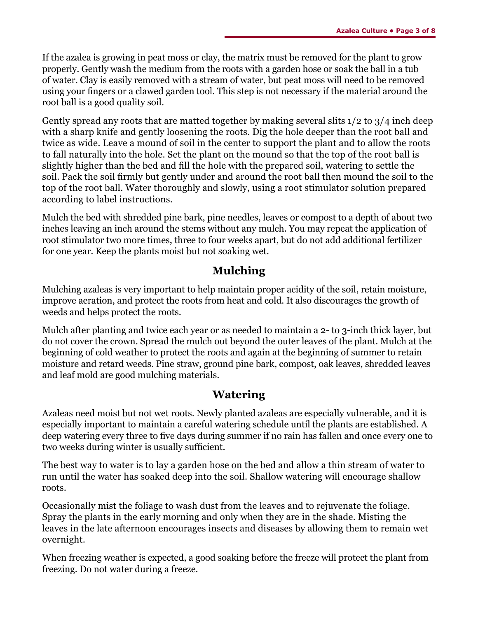If the azalea is growing in peat moss or clay, the matrix must be removed for the plant to grow properly. Gently wash the medium from the roots with a garden hose or soak the ball in a tub of water. Clay is easily removed with a stream of water, but peat moss will need to be removed using your fingers or a clawed garden tool. This step is not necessary if the material around the root ball is a good quality soil.

Gently spread any roots that are matted together by making several slits  $1/2$  to  $3/4$  inch deep with a sharp knife and gently loosening the roots. Dig the hole deeper than the root ball and twice as wide. Leave a mound of soil in the center to support the plant and to allow the roots to fall naturally into the hole. Set the plant on the mound so that the top of the root ball is slightly higher than the bed and fill the hole with the prepared soil, watering to settle the soil. Pack the soil firmly but gently under and around the root ball then mound the soil to the top of the root ball. Water thoroughly and slowly, using a root stimulator solution prepared according to label instructions.

Mulch the bed with shredded pine bark, pine needles, leaves or compost to a depth of about two inches leaving an inch around the stems without any mulch. You may repeat the application of root stimulator two more times, three to four weeks apart, but do not add additional fertilizer for one year. Keep the plants moist but not soaking wet.

## **Mulching**

Mulching azaleas is very important to help maintain proper acidity of the soil, retain moisture, improve aeration, and protect the roots from heat and cold. It also discourages the growth of weeds and helps protect the roots.

Mulch after planting and twice each year or as needed to maintain a 2- to 3-inch thick layer, but do not cover the crown. Spread the mulch out beyond the outer leaves of the plant. Mulch at the beginning of cold weather to protect the roots and again at the beginning of summer to retain moisture and retard weeds. Pine straw, ground pine bark, compost, oak leaves, shredded leaves and leaf mold are good mulching materials.

## **Watering**

Azaleas need moist but not wet roots. Newly planted azaleas are especially vulnerable, and it is especially important to maintain a careful watering schedule until the plants are established. A deep watering every three to five days during summer if no rain has fallen and once every one to two weeks during winter is usually sufficient.

The best way to water is to lay a garden hose on the bed and allow a thin stream of water to run until the water has soaked deep into the soil. Shallow watering will encourage shallow roots.

Occasionally mist the foliage to wash dust from the leaves and to rejuvenate the foliage. Spray the plants in the early morning and only when they are in the shade. Misting the leaves in the late afternoon encourages insects and diseases by allowing them to remain wet overnight.

When freezing weather is expected, a good soaking before the freeze will protect the plant from freezing. Do not water during a freeze.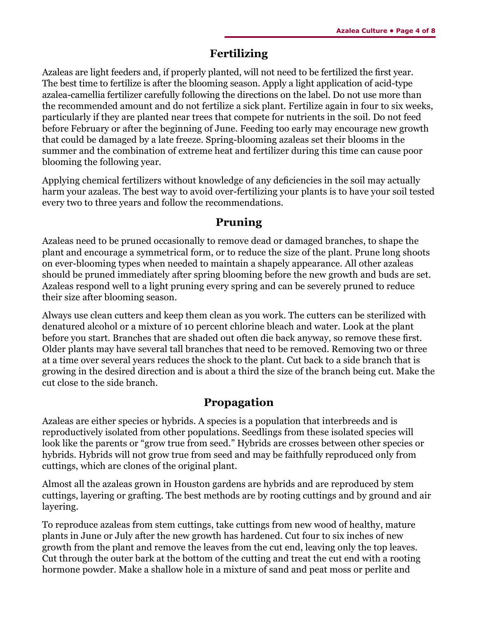#### **Fertilizing**

Azaleas are light feeders and, if properly planted, will not need to be fertilized the first year. The best time to fertilize is after the blooming season. Apply a light application of acid-type azalea-camellia fertilizer carefully following the directions on the label. Do not use more than the recommended amount and do not fertilize a sick plant. Fertilize again in four to six weeks, particularly if they are planted near trees that compete for nutrients in the soil. Do not feed before February or after the beginning of June. Feeding too early may encourage new growth that could be damaged by a late freeze. Spring-blooming azaleas set their blooms in the summer and the combination of extreme heat and fertilizer during this time can cause poor blooming the following year.

Applying chemical fertilizers without knowledge of any deficiencies in the soil may actually harm your azaleas. The best way to avoid over-fertilizing your plants is to have your soil tested every two to three years and follow the recommendations.

### **Pruning**

Azaleas need to be pruned occasionally to remove dead or damaged branches, to shape the plant and encourage a symmetrical form, or to reduce the size of the plant. Prune long shoots on ever-blooming types when needed to maintain a shapely appearance. All other azaleas should be pruned immediately after spring blooming before the new growth and buds are set. Azaleas respond well to a light pruning every spring and can be severely pruned to reduce their size after blooming season.

Always use clean cutters and keep them clean as you work. The cutters can be sterilized with denatured alcohol or a mixture of 10 percent chlorine bleach and water. Look at the plant before you start. Branches that are shaded out often die back anyway, so remove these first. Older plants may have several tall branches that need to be removed. Removing two or three at a time over several years reduces the shock to the plant. Cut back to a side branch that is growing in the desired direction and is about a third the size of the branch being cut. Make the cut close to the side branch.

## **Propagation**

Azaleas are either species or hybrids. A species is a population that interbreeds and is reproductively isolated from other populations. Seedlings from these isolated species will look like the parents or "grow true from seed." Hybrids are crosses between other species or hybrids. Hybrids will not grow true from seed and may be faithfully reproduced only from cuttings, which are clones of the original plant.

Almost all the azaleas grown in Houston gardens are hybrids and are reproduced by stem cuttings, layering or grafting. The best methods are by rooting cuttings and by ground and air layering.

To reproduce azaleas from stem cuttings, take cuttings from new wood of healthy, mature plants in June or July after the new growth has hardened. Cut four to six inches of new growth from the plant and remove the leaves from the cut end, leaving only the top leaves. Cut through the outer bark at the bottom of the cutting and treat the cut end with a rooting hormone powder. Make a shallow hole in a mixture of sand and peat moss or perlite and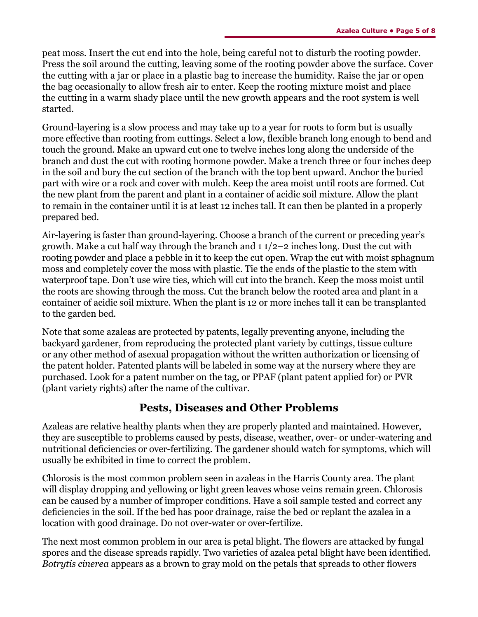peat moss. Insert the cut end into the hole, being careful not to disturb the rooting powder. Press the soil around the cutting, leaving some of the rooting powder above the surface. Cover the cutting with a jar or place in a plastic bag to increase the humidity. Raise the jar or open the bag occasionally to allow fresh air to enter. Keep the rooting mixture moist and place the cutting in a warm shady place until the new growth appears and the root system is well started.

Ground-layering is a slow process and may take up to a year for roots to form but is usually more effective than rooting from cuttings. Select a low, flexible branch long enough to bend and touch the ground. Make an upward cut one to twelve inches long along the underside of the branch and dust the cut with rooting hormone powder. Make a trench three or four inches deep in the soil and bury the cut section of the branch with the top bent upward. Anchor the buried part with wire or a rock and cover with mulch. Keep the area moist until roots are formed. Cut the new plant from the parent and plant in a container of acidic soil mixture. Allow the plant to remain in the container until it is at least 12 inches tall. It can then be planted in a properly prepared bed.

Air-layering is faster than ground-layering. Choose a branch of the current or preceding year's growth. Make a cut half way through the branch and  $11/2-2$  inches long. Dust the cut with rooting powder and place a pebble in it to keep the cut open. Wrap the cut with moist sphagnum moss and completely cover the moss with plastic. Tie the ends of the plastic to the stem with waterproof tape. Don't use wire ties, which will cut into the branch. Keep the moss moist until the roots are showing through the moss. Cut the branch below the rooted area and plant in a container of acidic soil mixture. When the plant is 12 or more inches tall it can be transplanted to the garden bed.

Note that some azaleas are protected by patents, legally preventing anyone, including the backyard gardener, from reproducing the protected plant variety by cuttings, tissue culture or any other method of asexual propagation without the written authorization or licensing of the patent holder. Patented plants will be labeled in some way at the nursery where they are purchased. Look for a patent number on the tag, or PPAF (plant patent applied for) or PVR (plant variety rights) after the name of the cultivar.

#### **Pests, Diseases and Other Problems**

Azaleas are relative healthy plants when they are properly planted and maintained. However, they are susceptible to problems caused by pests, disease, weather, over- or under-watering and nutritional deficiencies or over-fertilizing. The gardener should watch for symptoms, which will usually be exhibited in time to correct the problem.

Chlorosis is the most common problem seen in azaleas in the Harris County area. The plant will display dropping and yellowing or light green leaves whose veins remain green. Chlorosis can be caused by a number of improper conditions. Have a soil sample tested and correct any deficiencies in the soil. If the bed has poor drainage, raise the bed or replant the azalea in a location with good drainage. Do not over-water or over-fertilize.

The next most common problem in our area is petal blight. The flowers are attacked by fungal spores and the disease spreads rapidly. Two varieties of azalea petal blight have been identified. *Botrytis cinerea* appears as a brown to gray mold on the petals that spreads to other flowers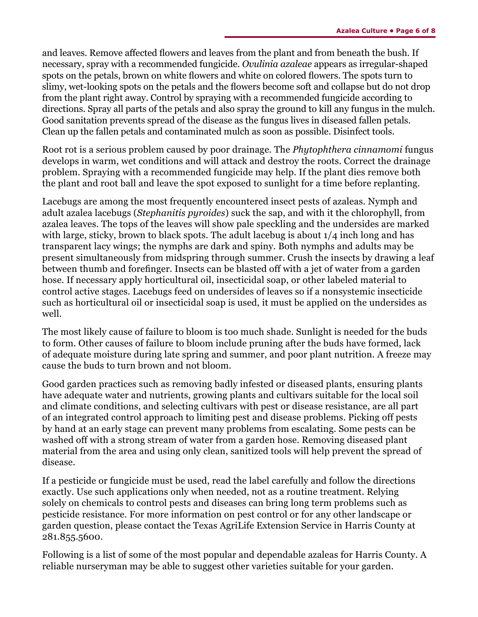and leaves. Remove affected flowers and leaves from the plant and from beneath the bush. If necessary, spray with a recommended fungicide. *Ovulinia azaleae* appears as irregular-shaped spots on the petals, brown on white flowers and white on colored flowers. The spots turn to slimy, wet-looking spots on the petals and the flowers become soft and collapse but do not drop from the plant right away. Control by spraying with a recommended fungicide according to directions. Spray all parts of the petals and also spray the ground to kill any fungus in the mulch. Good sanitation prevents spread of the disease as the fungus lives in diseased fallen petals. Clean up the fallen petals and contaminated mulch as soon as possible. Disinfect tools.

Root rot is a serious problem caused by poor drainage. The *Phytophthera cinnamomi* fungus develops in warm, wet conditions and will attack and destroy the roots. Correct the drainage problem. Spraying with a recommended fungicide may help. If the plant dies remove both the plant and root ball and leave the spot exposed to sunlight for a time before replanting.

Lacebugs are among the most frequently encountered insect pests of azaleas. Nymph and adult azalea lacebugs (*Stephanitis pyroides*) suck the sap, and with it the chlorophyll, from azalea leaves. The tops of the leaves will show pale speckling and the undersides are marked with large, sticky, brown to black spots. The adult lacebug is about  $1/4$  inch long and has transparent lacy wings; the nymphs are dark and spiny. Both nymphs and adults may be present simultaneously from midspring through summer. Crush the insects by drawing a leaf between thumb and forefinger. Insects can be blasted off with a jet of water from a garden hose. If necessary apply horticultural oil, insecticidal soap, or other labeled material to control active stages. Lacebugs feed on undersides of leaves so if a nonsystemic insecticide such as horticultural oil or insecticidal soap is used, it must be applied on the undersides as well.

The most likely cause of failure to bloom is too much shade. Sunlight is needed for the buds to form. Other causes of failure to bloom include pruning after the buds have formed, lack of adequate moisture during late spring and summer, and poor plant nutrition. A freeze may cause the buds to turn brown and not bloom.

Good garden practices such as removing badly infested or diseased plants, ensuring plants have adequate water and nutrients, growing plants and cultivars suitable for the local soil and climate conditions, and selecting cultivars with pest or disease resistance, are all part of an integrated control approach to limiting pest and disease problems. Picking off pests by hand at an early stage can prevent many problems from escalating. Some pests can be washed off with a strong stream of water from a garden hose. Removing diseased plant material from the area and using only clean, sanitized tools will help prevent the spread of disease.

If a pesticide or fungicide must be used, read the label carefully and follow the directions exactly. Use such applications only when needed, not as a routine treatment. Relying solely on chemicals to control pests and diseases can bring long term problems such as pesticide resistance. For more information on pest control or for any other landscape or garden question, please contact the Texas AgriLife Extension Service in Harris County at 281.855.5600.

Following is a list of some of the most popular and dependable azaleas for Harris County. A reliable nurseryman may be able to suggest other varieties suitable for your garden.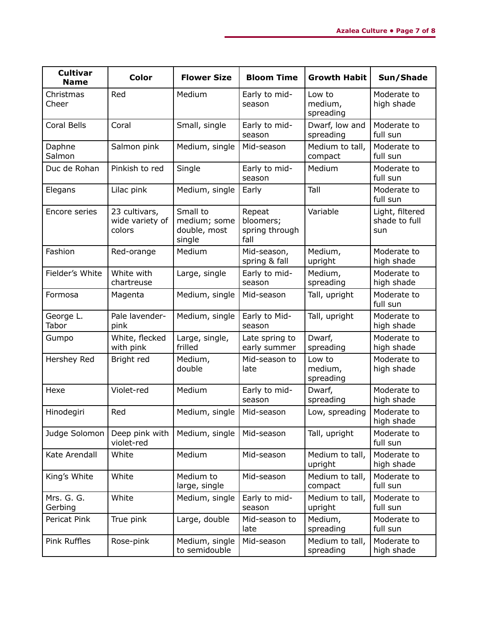| <b>Cultivar</b><br><b>Name</b> | <b>Color</b>                               | <b>Flower Size</b>                                 | <b>Bloom Time</b>                             | <b>Growth Habit</b>            | Sun/Shade                               |
|--------------------------------|--------------------------------------------|----------------------------------------------------|-----------------------------------------------|--------------------------------|-----------------------------------------|
| Christmas<br>Cheer             | Red                                        | Medium                                             | Early to mid-<br>season                       | Low to<br>medium,<br>spreading | Moderate to<br>high shade               |
| Coral Bells                    | Coral                                      | Small, single                                      | Early to mid-<br>season                       | Dwarf, low and<br>spreading    | Moderate to<br>full sun                 |
| Daphne<br>Salmon               | Salmon pink                                | Medium, single                                     | Mid-season                                    | Medium to tall,<br>compact     | Moderate to<br>full sun                 |
| Duc de Rohan                   | Pinkish to red                             | Single                                             | Early to mid-<br>season                       | Medium                         | Moderate to<br>full sun                 |
| Elegans                        | Lilac pink                                 | Medium, single                                     | Early                                         | Tall                           | Moderate to<br>full sun                 |
| Encore series                  | 23 cultivars,<br>wide variety of<br>colors | Small to<br>medium; some<br>double, most<br>single | Repeat<br>bloomers;<br>spring through<br>fall | Variable                       | Light, filtered<br>shade to full<br>sun |
| Fashion                        | Red-orange                                 | Medium                                             | Mid-season,<br>spring & fall                  | Medium,<br>upright             | Moderate to<br>high shade               |
| Fielder's White                | White with<br>chartreuse                   | Large, single                                      | Early to mid-<br>season                       | Medium,<br>spreading           | Moderate to<br>high shade               |
| Formosa                        | Magenta                                    | Medium, single                                     | Mid-season                                    | Tall, upright                  | Moderate to<br>full sun                 |
| George L.<br>Tabor             | Pale lavender-<br>pink                     | Medium, single                                     | Early to Mid-<br>season                       | Tall, upright                  | Moderate to<br>high shade               |
| Gumpo                          | White, flecked<br>with pink                | Large, single,<br>frilled                          | Late spring to<br>early summer                | Dwarf,<br>spreading            | Moderate to<br>high shade               |
| Hershey Red                    | Bright red                                 | Medium,<br>double                                  | Mid-season to<br>late                         | Low to<br>medium,<br>spreading | Moderate to<br>high shade               |
| Hexe                           | Violet-red                                 | Medium                                             | Early to mid-<br>season                       | Dwarf,<br>spreading            | Moderate to<br>high shade               |
| Hinodegiri                     | Red                                        | Medium, single                                     | Mid-season                                    | Low, spreading                 | Moderate to<br>high shade               |
| Judge Solomon                  | Deep pink with<br>violet-red               | Medium, single                                     | Mid-season                                    | Tall, upright                  | Moderate to<br>full sun                 |
| Kate Arendall                  | White                                      | Medium                                             | Mid-season                                    | Medium to tall,<br>upright     | Moderate to<br>high shade               |
| King's White                   | White                                      | Medium to<br>large, single                         | Mid-season                                    | Medium to tall,<br>compact     | Moderate to<br>full sun                 |
| Mrs. G. G.<br>Gerbing          | White                                      | Medium, single                                     | Early to mid-<br>season                       | Medium to tall,<br>upright     | Moderate to<br>full sun                 |
| Pericat Pink                   | True pink                                  | Large, double                                      | Mid-season to<br>late                         | Medium,<br>spreading           | Moderate to<br>full sun                 |
| Pink Ruffles                   | Rose-pink                                  | Medium, single<br>to semidouble                    | Mid-season                                    | Medium to tall,<br>spreading   | Moderate to<br>high shade               |